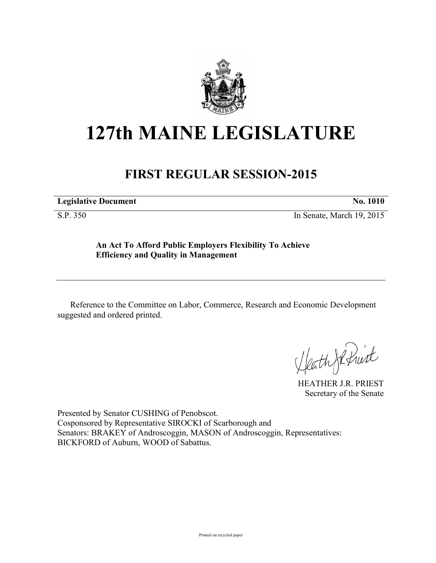

## **127th MAINE LEGISLATURE**

## **FIRST REGULAR SESSION-2015**

**Legislative Document No. 1010** 

S.P. 350 In Senate, March 19, 2015

**An Act To Afford Public Employers Flexibility To Achieve Efficiency and Quality in Management**

Reference to the Committee on Labor, Commerce, Research and Economic Development suggested and ordered printed.

Heath JR fruit

HEATHER J.R. PRIEST Secretary of the Senate

Presented by Senator CUSHING of Penobscot. Cosponsored by Representative SIROCKI of Scarborough and Senators: BRAKEY of Androscoggin, MASON of Androscoggin, Representatives: BICKFORD of Auburn, WOOD of Sabattus.